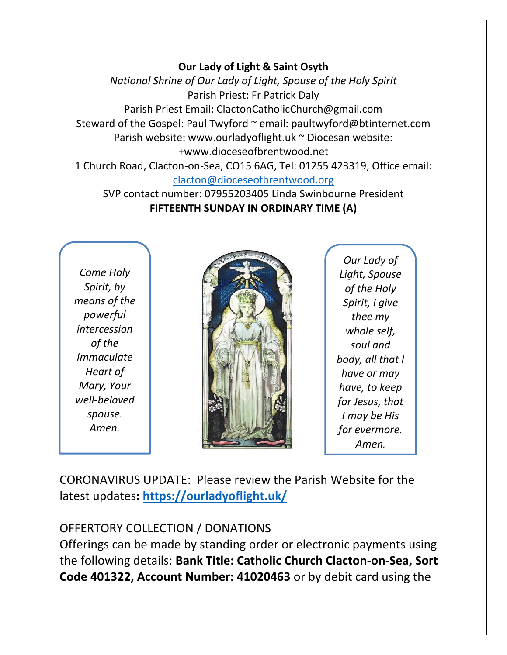#### **Our Lady of Light & Saint Osyth**

*National Shrine of Our Lady of Light, Spouse of the Holy Spirit* Parish Priest: Fr Patrick Daly Parish Priest Email: ClactonCatholicChurch@gmail.com Steward of the Gospel: Paul Twyford ~ email: paultwyford@btinternet.com Parish website: www.ourladyoflight.uk ~ Diocesan website: +www.dioceseofbrentwood.net 1 Church Road, Clacton-on-Sea, CO15 6AG, Tel: 01255 423319, Office email:

[clacton@dioceseofbrentwood.org](mailto:clacton@dioceseofbrentwood.org)

SVP contact number: 07955203405 Linda Swinbourne President **FIFTEENTH SUNDAY IN ORDINARY TIME (A)**

*Come Holy Spirit, by means of the powerful intercession of the Immaculate Heart of Mary, Your well-beloved spouse. Amen.*



*Our Lady of Light, Spouse of the Holy Spirit, I give thee my whole self, soul and body, all that I have or may have, to keep for Jesus, that I may be His for evermore. Amen.*

CORONAVIRUS UPDATE: Please review the Parish Website for the latest updates**:<https://ourladyoflight.uk/>**

# OFFERTORY COLLECTION / DONATIONS

Offerings can be made by standing order or electronic payments using the following details: **Bank Title: Catholic Church Clacton-on-Sea, Sort Code 401322, Account Number: 41020463** or by debit card using the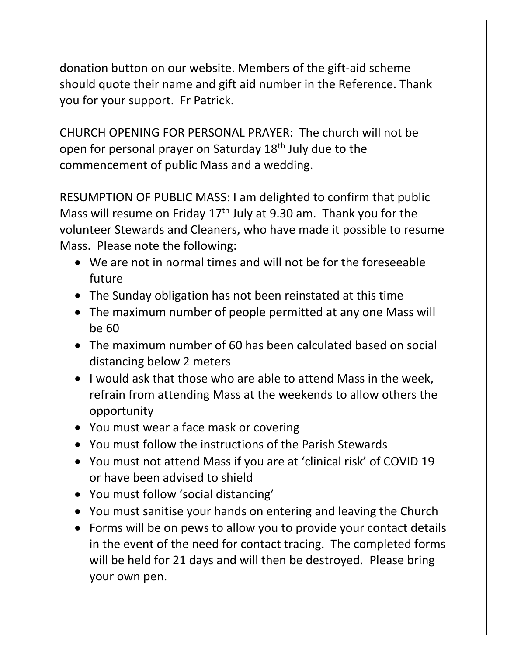donation button on our website. Members of the gift-aid scheme should quote their name and gift aid number in the Reference. Thank you for your support. Fr Patrick.

CHURCH OPENING FOR PERSONAL PRAYER: The church will not be open for personal prayer on Saturday 18th July due to the commencement of public Mass and a wedding.

RESUMPTION OF PUBLIC MASS: I am delighted to confirm that public Mass will resume on Friday 17<sup>th</sup> July at 9.30 am. Thank you for the volunteer Stewards and Cleaners, who have made it possible to resume Mass. Please note the following:

- We are not in normal times and will not be for the foreseeable future
- The Sunday obligation has not been reinstated at this time
- The maximum number of people permitted at any one Mass will be 60
- The maximum number of 60 has been calculated based on social distancing below 2 meters
- I would ask that those who are able to attend Mass in the week, refrain from attending Mass at the weekends to allow others the opportunity
- You must wear a face mask or covering
- You must follow the instructions of the Parish Stewards
- You must not attend Mass if you are at 'clinical risk' of COVID 19 or have been advised to shield
- You must follow 'social distancing'
- You must sanitise your hands on entering and leaving the Church
- Forms will be on pews to allow you to provide your contact details in the event of the need for contact tracing. The completed forms will be held for 21 days and will then be destroyed. Please bring your own pen.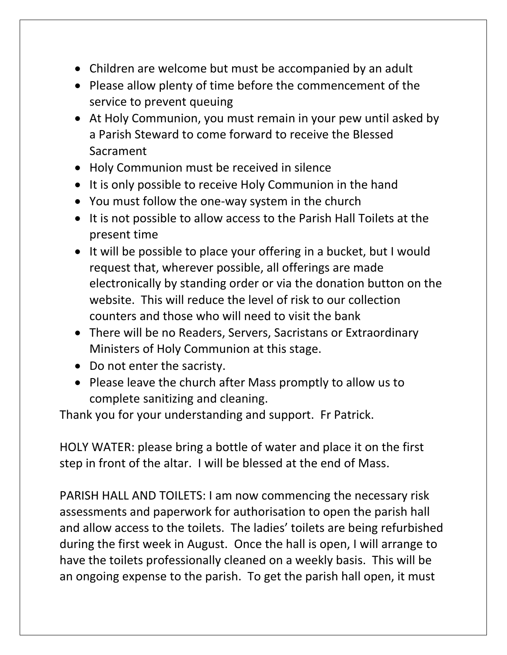- Children are welcome but must be accompanied by an adult
- Please allow plenty of time before the commencement of the service to prevent queuing
- At Holy Communion, you must remain in your pew until asked by a Parish Steward to come forward to receive the Blessed Sacrament
- Holy Communion must be received in silence
- It is only possible to receive Holy Communion in the hand
- You must follow the one-way system in the church
- It is not possible to allow access to the Parish Hall Toilets at the present time
- It will be possible to place your offering in a bucket, but I would request that, wherever possible, all offerings are made electronically by standing order or via the donation button on the website. This will reduce the level of risk to our collection counters and those who will need to visit the bank
- There will be no Readers, Servers, Sacristans or Extraordinary Ministers of Holy Communion at this stage.
- Do not enter the sacristy.
- Please leave the church after Mass promptly to allow us to complete sanitizing and cleaning.

Thank you for your understanding and support. Fr Patrick.

HOLY WATER: please bring a bottle of water and place it on the first step in front of the altar. I will be blessed at the end of Mass.

PARISH HALL AND TOILETS: I am now commencing the necessary risk assessments and paperwork for authorisation to open the parish hall and allow access to the toilets. The ladies' toilets are being refurbished during the first week in August. Once the hall is open, I will arrange to have the toilets professionally cleaned on a weekly basis. This will be an ongoing expense to the parish. To get the parish hall open, it must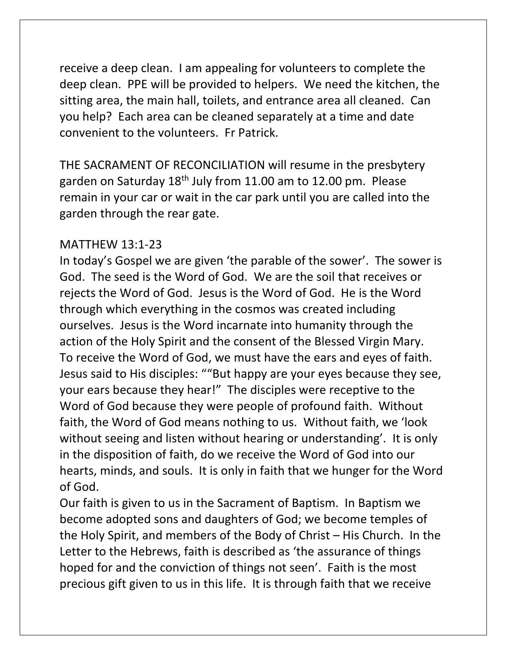receive a deep clean. I am appealing for volunteers to complete the deep clean. PPE will be provided to helpers. We need the kitchen, the sitting area, the main hall, toilets, and entrance area all cleaned. Can you help? Each area can be cleaned separately at a time and date convenient to the volunteers. Fr Patrick.

THE SACRAMENT OF RECONCILIATION will resume in the presbytery garden on Saturday 18th July from 11.00 am to 12.00 pm. Please remain in your car or wait in the car park until you are called into the garden through the rear gate.

### MATTHEW 13:1-23

In today's Gospel we are given 'the parable of the sower'. The sower is God. The seed is the Word of God. We are the soil that receives or rejects the Word of God. Jesus is the Word of God. He is the Word through which everything in the cosmos was created including ourselves. Jesus is the Word incarnate into humanity through the action of the Holy Spirit and the consent of the Blessed Virgin Mary. To receive the Word of God, we must have the ears and eyes of faith. Jesus said to His disciples: ""But happy are your eyes because they see, your ears because they hear!" The disciples were receptive to the Word of God because they were people of profound faith. Without faith, the Word of God means nothing to us. Without faith, we 'look without seeing and listen without hearing or understanding'. It is only in the disposition of faith, do we receive the Word of God into our hearts, minds, and souls. It is only in faith that we hunger for the Word of God.

Our faith is given to us in the Sacrament of Baptism. In Baptism we become adopted sons and daughters of God; we become temples of the Holy Spirit, and members of the Body of Christ – His Church. In the Letter to the Hebrews, faith is described as 'the assurance of things hoped for and the conviction of things not seen'. Faith is the most precious gift given to us in this life. It is through faith that we receive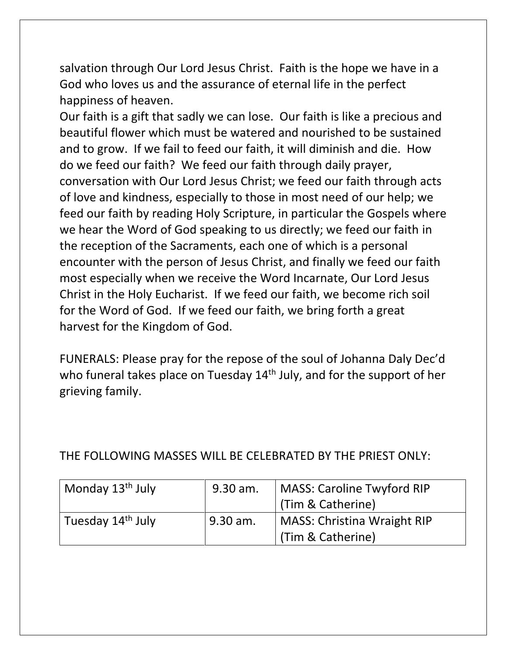salvation through Our Lord Jesus Christ. Faith is the hope we have in a God who loves us and the assurance of eternal life in the perfect happiness of heaven.

Our faith is a gift that sadly we can lose. Our faith is like a precious and beautiful flower which must be watered and nourished to be sustained and to grow. If we fail to feed our faith, it will diminish and die. How do we feed our faith? We feed our faith through daily prayer, conversation with Our Lord Jesus Christ; we feed our faith through acts of love and kindness, especially to those in most need of our help; we feed our faith by reading Holy Scripture, in particular the Gospels where we hear the Word of God speaking to us directly; we feed our faith in the reception of the Sacraments, each one of which is a personal encounter with the person of Jesus Christ, and finally we feed our faith most especially when we receive the Word Incarnate, Our Lord Jesus Christ in the Holy Eucharist. If we feed our faith, we become rich soil for the Word of God. If we feed our faith, we bring forth a great harvest for the Kingdom of God.

FUNERALS: Please pray for the repose of the soul of Johanna Daly Dec'd who funeral takes place on Tuesday 14<sup>th</sup> July, and for the support of her grieving family.

| Monday 13 <sup>th</sup> July  | 9.30 am.   | MASS: Caroline Twyford RIP  |  |
|-------------------------------|------------|-----------------------------|--|
|                               |            | (Tim & Catherine)           |  |
| Tuesday 14 <sup>th</sup> July | $9.30$ am. | MASS: Christina Wraight RIP |  |
|                               |            | (Tim & Catherine)           |  |

# THE FOLLOWING MASSES WILL BE CELEBRATED BY THE PRIEST ONLY: